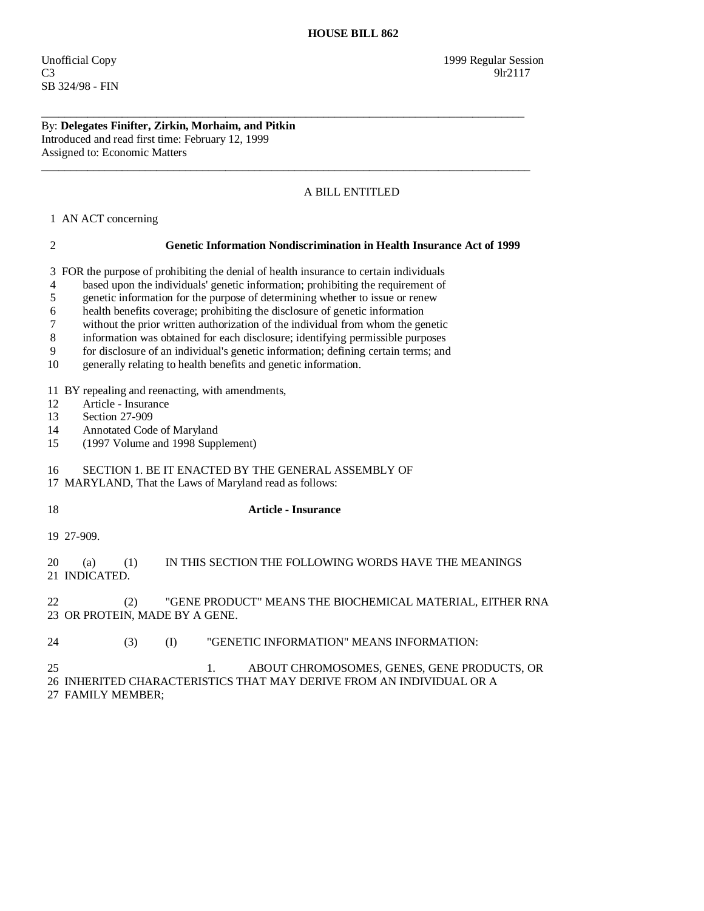By: **Delegates Finifter, Zirkin, Morhaim, and Pitkin**  Introduced and read first time: February 12, 1999 Assigned to: Economic Matters

## A BILL ENTITLED

1 AN ACT concerning

## 2 **Genetic Information Nondiscrimination in Health Insurance Act of 1999**

3 FOR the purpose of prohibiting the denial of health insurance to certain individuals

\_\_\_\_\_\_\_\_\_\_\_\_\_\_\_\_\_\_\_\_\_\_\_\_\_\_\_\_\_\_\_\_\_\_\_\_\_\_\_\_\_\_\_\_\_\_\_\_\_\_\_\_\_\_\_\_\_\_\_\_\_\_\_\_\_\_\_\_\_\_\_\_\_\_\_\_\_\_\_\_\_\_\_\_

\_\_\_\_\_\_\_\_\_\_\_\_\_\_\_\_\_\_\_\_\_\_\_\_\_\_\_\_\_\_\_\_\_\_\_\_\_\_\_\_\_\_\_\_\_\_\_\_\_\_\_\_\_\_\_\_\_\_\_\_\_\_\_\_\_\_\_\_\_\_\_\_\_\_\_\_\_\_\_\_\_\_\_\_\_

4 based upon the individuals' genetic information; prohibiting the requirement of

5 genetic information for the purpose of determining whether to issue or renew

6 health benefits coverage; prohibiting the disclosure of genetic information

7 without the prior written authorization of the individual from whom the genetic

8 information was obtained for each disclosure; identifying permissible purposes

9 for disclosure of an individual's genetic information; defining certain terms; and

10 generally relating to health benefits and genetic information.

11 BY repealing and reenacting, with amendments,

12 Article - Insurance

13 Section 27-909<br>14 Annotated Code

Annotated Code of Maryland

15 (1997 Volume and 1998 Supplement)

16 SECTION 1. BE IT ENACTED BY THE GENERAL ASSEMBLY OF

17 MARYLAND, That the Laws of Maryland read as follows:

18 **Article - Insurance** 

19 27-909.

 20 (a) (1) IN THIS SECTION THE FOLLOWING WORDS HAVE THE MEANINGS 21 INDICATED.

 22 (2) "GENE PRODUCT" MEANS THE BIOCHEMICAL MATERIAL, EITHER RNA 23 OR PROTEIN, MADE BY A GENE.

24 (3) (I) "GENETIC INFORMATION" MEANS INFORMATION:

 25 1. ABOUT CHROMOSOMES, GENES, GENE PRODUCTS, OR 26 INHERITED CHARACTERISTICS THAT MAY DERIVE FROM AN INDIVIDUAL OR A

27 FAMILY MEMBER;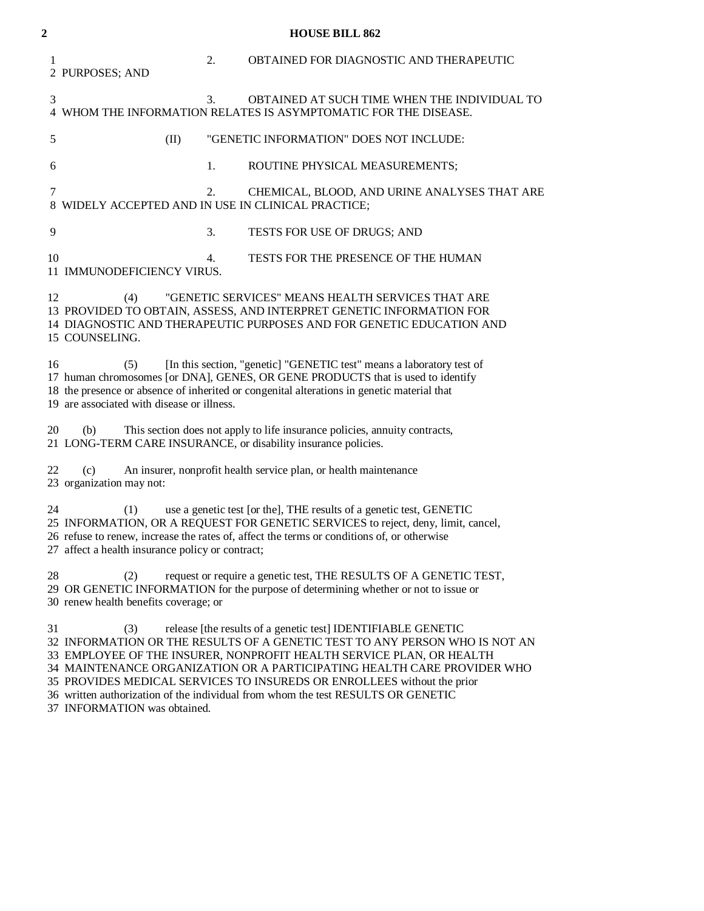| $\overline{2}$ | <b>HOUSE BILL 862</b>                                                                                                                                                                                                                                                                                                                                                                                                                                                                                |  |
|----------------|------------------------------------------------------------------------------------------------------------------------------------------------------------------------------------------------------------------------------------------------------------------------------------------------------------------------------------------------------------------------------------------------------------------------------------------------------------------------------------------------------|--|
| 1              | 2.<br>OBTAINED FOR DIAGNOSTIC AND THERAPEUTIC<br>2 PURPOSES; AND                                                                                                                                                                                                                                                                                                                                                                                                                                     |  |
| 3              | 3.<br>OBTAINED AT SUCH TIME WHEN THE INDIVIDUAL TO<br>4 WHOM THE INFORMATION RELATES IS ASYMPTOMATIC FOR THE DISEASE.                                                                                                                                                                                                                                                                                                                                                                                |  |
| 5              | "GENETIC INFORMATION" DOES NOT INCLUDE:<br>(II)                                                                                                                                                                                                                                                                                                                                                                                                                                                      |  |
| 6              | 1.<br>ROUTINE PHYSICAL MEASUREMENTS;                                                                                                                                                                                                                                                                                                                                                                                                                                                                 |  |
| 7              | CHEMICAL, BLOOD, AND URINE ANALYSES THAT ARE<br>2.<br>8 WIDELY ACCEPTED AND IN USE IN CLINICAL PRACTICE;                                                                                                                                                                                                                                                                                                                                                                                             |  |
| 9              | 3.<br>TESTS FOR USE OF DRUGS; AND                                                                                                                                                                                                                                                                                                                                                                                                                                                                    |  |
| 10             | TESTS FOR THE PRESENCE OF THE HUMAN<br>4.<br>11 IMMUNODEFICIENCY VIRUS.                                                                                                                                                                                                                                                                                                                                                                                                                              |  |
| 12             | "GENETIC SERVICES" MEANS HEALTH SERVICES THAT ARE<br>(4)<br>13 PROVIDED TO OBTAIN, ASSESS, AND INTERPRET GENETIC INFORMATION FOR<br>14 DIAGNOSTIC AND THERAPEUTIC PURPOSES AND FOR GENETIC EDUCATION AND<br>15 COUNSELING.                                                                                                                                                                                                                                                                           |  |
| 16             | [In this section, "genetic] "GENETIC test" means a laboratory test of<br>(5)<br>17 human chromosomes [or DNA], GENES, OR GENE PRODUCTS that is used to identify<br>18 the presence or absence of inherited or congenital alterations in genetic material that<br>19 are associated with disease or illness.                                                                                                                                                                                          |  |
| 20             | This section does not apply to life insurance policies, annuity contracts,<br>(b)<br>21 LONG-TERM CARE INSURANCE, or disability insurance policies.                                                                                                                                                                                                                                                                                                                                                  |  |
| 22             | An insurer, nonprofit health service plan, or health maintenance<br>(c)<br>23 organization may not:                                                                                                                                                                                                                                                                                                                                                                                                  |  |
| 24             | use a genetic test [or the], THE results of a genetic test, GENETIC<br>(1)<br>25 INFORMATION, OR A REQUEST FOR GENETIC SERVICES to reject, deny, limit, cancel,<br>26 refuse to renew, increase the rates of, affect the terms or conditions of, or otherwise<br>27 affect a health insurance policy or contract;                                                                                                                                                                                    |  |
| 28             | request or require a genetic test, THE RESULTS OF A GENETIC TEST,<br>(2)<br>29 OR GENETIC INFORMATION for the purpose of determining whether or not to issue or<br>30 renew health benefits coverage; or                                                                                                                                                                                                                                                                                             |  |
| 31             | release [the results of a genetic test] IDENTIFIABLE GENETIC<br>(3)<br>32 INFORMATION OR THE RESULTS OF A GENETIC TEST TO ANY PERSON WHO IS NOT AN<br>33 EMPLOYEE OF THE INSURER, NONPROFIT HEALTH SERVICE PLAN, OR HEALTH<br>34 MAINTENANCE ORGANIZATION OR A PARTICIPATING HEALTH CARE PROVIDER WHO<br>35 PROVIDES MEDICAL SERVICES TO INSUREDS OR ENROLLEES without the prior<br>36 written authorization of the individual from whom the test RESULTS OR GENETIC<br>37 INFORMATION was obtained. |  |